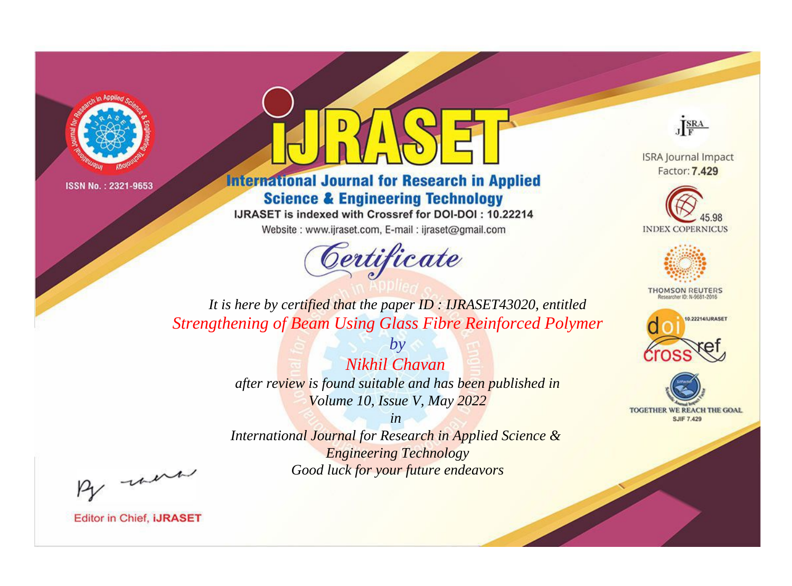



**International Journal for Research in Applied Science & Engineering Technology** 

IJRASET is indexed with Crossref for DOI-DOI: 10.22214

Website: www.ijraset.com, E-mail: ijraset@gmail.com



JERA

**ISRA Journal Impact** Factor: 7.429





**THOMSON REUTERS** 



TOGETHER WE REACH THE GOAL **SJIF 7.429** 

*It is here by certified that the paper ID : IJRASET43020, entitled Strengthening of Beam Using Glass Fibre Reinforced Polymer*

> *by Nikhil Chavan after review is found suitable and has been published in Volume 10, Issue V, May 2022*

> > *in*

*International Journal for Research in Applied Science & Engineering Technology Good luck for your future endeavors*

By morn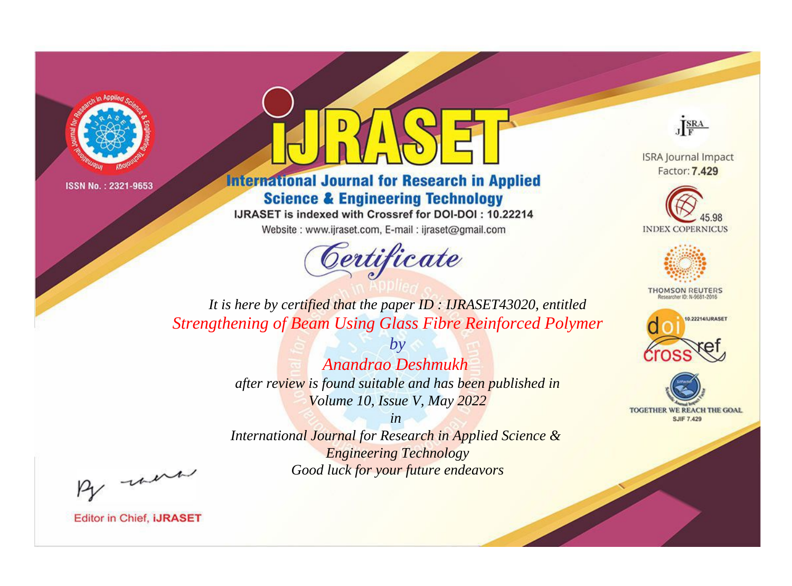



**International Journal for Research in Applied Science & Engineering Technology** 

IJRASET is indexed with Crossref for DOI-DOI: 10.22214

Website: www.ijraset.com, E-mail: ijraset@gmail.com



JERA

**ISRA Journal Impact** Factor: 7.429





**THOMSON REUTERS** 



TOGETHER WE REACH THE GOAL **SJIF 7.429** 

*It is here by certified that the paper ID : IJRASET43020, entitled Strengthening of Beam Using Glass Fibre Reinforced Polymer*

> *Anandrao Deshmukh after review is found suitable and has been published in Volume 10, Issue V, May 2022*

*by*

*in* 

*International Journal for Research in Applied Science & Engineering Technology Good luck for your future endeavors*

By morn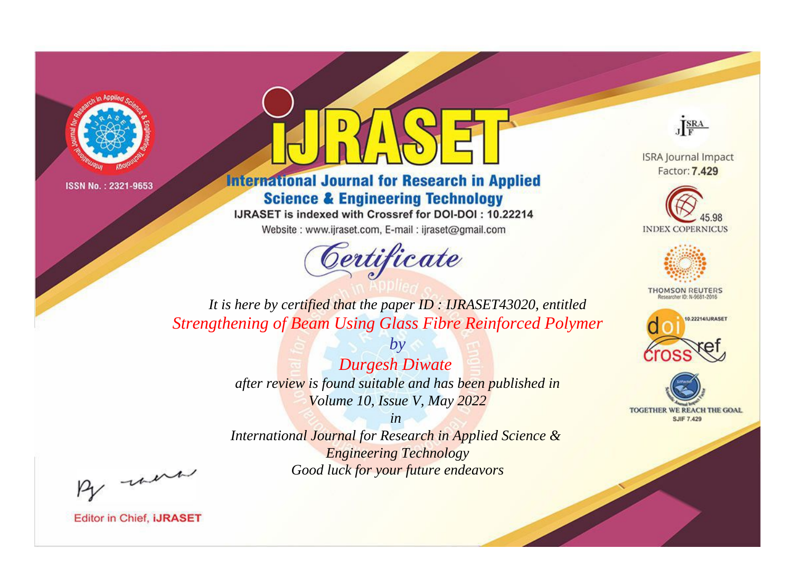



**International Journal for Research in Applied Science & Engineering Technology** 

IJRASET is indexed with Crossref for DOI-DOI: 10.22214

Website: www.ijraset.com, E-mail: ijraset@gmail.com



JERA

**ISRA Journal Impact** Factor: 7.429





**THOMSON REUTERS** 



TOGETHER WE REACH THE GOAL **SJIF 7.429** 

*It is here by certified that the paper ID : IJRASET43020, entitled Strengthening of Beam Using Glass Fibre Reinforced Polymer*

> *Durgesh Diwate after review is found suitable and has been published in Volume 10, Issue V, May 2022*

*by*

*in* 

*International Journal for Research in Applied Science & Engineering Technology Good luck for your future endeavors*

By morn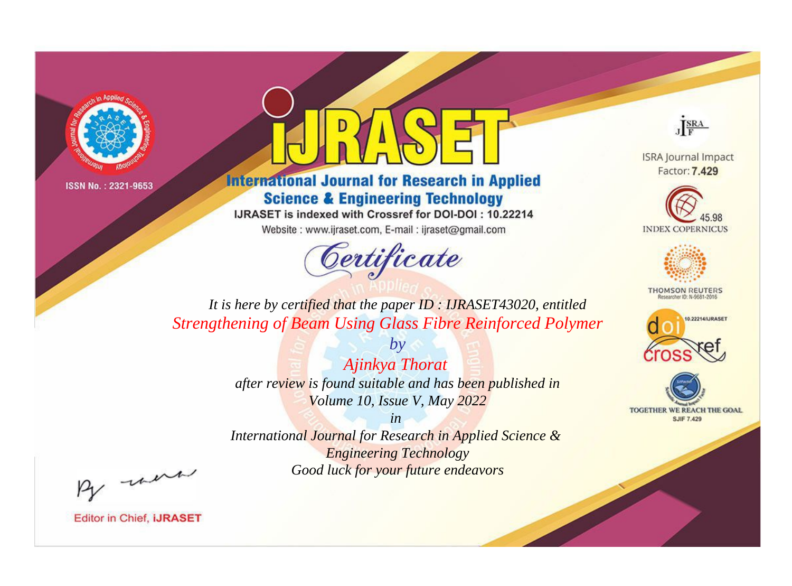



**International Journal for Research in Applied Science & Engineering Technology** 

IJRASET is indexed with Crossref for DOI-DOI: 10.22214

Website: www.ijraset.com, E-mail: ijraset@gmail.com



JERA

**ISRA Journal Impact** Factor: 7.429





**THOMSON REUTERS** 



TOGETHER WE REACH THE GOAL **SJIF 7.429** 

*It is here by certified that the paper ID : IJRASET43020, entitled Strengthening of Beam Using Glass Fibre Reinforced Polymer*

> *by Ajinkya Thorat after review is found suitable and has been published in Volume 10, Issue V, May 2022*

> > *in*

*International Journal for Research in Applied Science & Engineering Technology Good luck for your future endeavors*

By morn